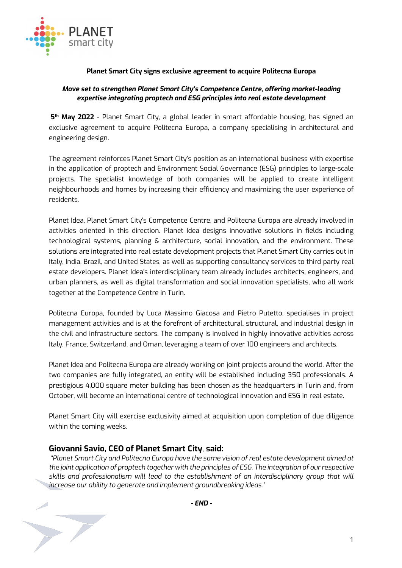

## **Planet Smart City signs exclusive agreement to acquire Politecna Europa**

## *Move set to strengthen Planet Smart City's Competence Centre, offering market-leading expertise integrating proptech and ESG principles into real estate development*

**5th May 2022** - Planet Smart City, a global leader in smart affordable housing, has signed an exclusive agreement to acquire Politecna Europa, a company specialising in architectural and engineering design.

The agreement reinforces Planet Smart City's position as an international business with expertise in the application of proptech and Environment Social Governance (ESG) principles to large-scale projects. The specialist knowledge of both companies will be applied to create intelligent neighbourhoods and homes by increasing their efficiency and maximizing the user experience of residents.

Planet Idea, Planet Smart City's Competence Centre, and Politecna Europa are already involved in activities oriented in this direction. Planet Idea designs innovative solutions in fields including technological systems, planning & architecture, social innovation, and the environment. These solutions are integrated into real estate development projects that Planet Smart City carries out in Italy, India, Brazil, and United States, as well as supporting consultancy services to third party real estate developers. Planet Idea's interdisciplinary team already includes architects, engineers, and urban planners, as well as digital transformation and social innovation specialists, who all work together at the Competence Centre in Turin.

Politecna Europa, founded by Luca Massimo Giacosa and Pietro Putetto, specialises in project management activities and is at the forefront of architectural, structural, and industrial design in the civil and infrastructure sectors. The company is involved in highly innovative activities across Italy, France, Switzerland, and Oman, leveraging a team of over 100 engineers and architects.

Planet Idea and Politecna Europa are already working on joint projects around the world. After the two companies are fully integrated, an entity will be established including 350 professionals. A prestigious 4,000 square meter building has been chosen as the headquarters in Turin and, from October, will become an international centre of technological innovation and ESG in real estate.

Planet Smart City will exercise exclusivity aimed at acquisition upon completion of due diligence within the coming weeks.

## **Giovanni Savio, CEO of Planet Smart City**, **said:**

 $\blacktriangleright$ 

*"Planet Smart City and Politecna Europa have the same vision of real estate development aimed at the joint application of proptech together with the principles of ESG. The integration of ourrespective skills and professionalism will lead to the establishment of an interdisciplinary group that will increase our ability to generate and implement groundbreaking ideas."*